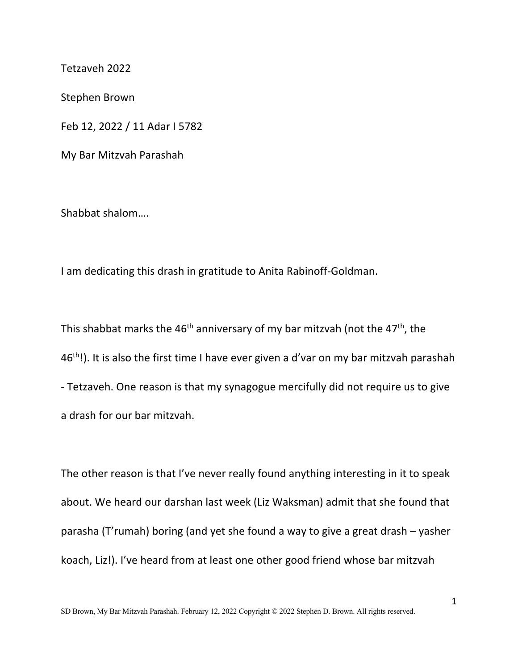Tetzaveh 2022

Stephen Brown

Feb 12, 2022 / 11 Adar I 5782

My Bar Mitzvah Parashah

Shabbat shalom….

I am dedicating this drash in gratitude to Anita Rabinoff-Goldman.

This shabbat marks the 46<sup>th</sup> anniversary of my bar mitzvah (not the 47<sup>th</sup>, the 46<sup>th</sup>!). It is also the first time I have ever given a d'var on my bar mitzvah parashah - Tetzaveh. One reason is that my synagogue mercifully did not require us to give a drash for our bar mitzvah.

The other reason is that I've never really found anything interesting in it to speak about. We heard our darshan last week (Liz Waksman) admit that she found that parasha (T'rumah) boring (and yet she found a way to give a great drash – yasher koach, Liz!). I've heard from at least one other good friend whose bar mitzvah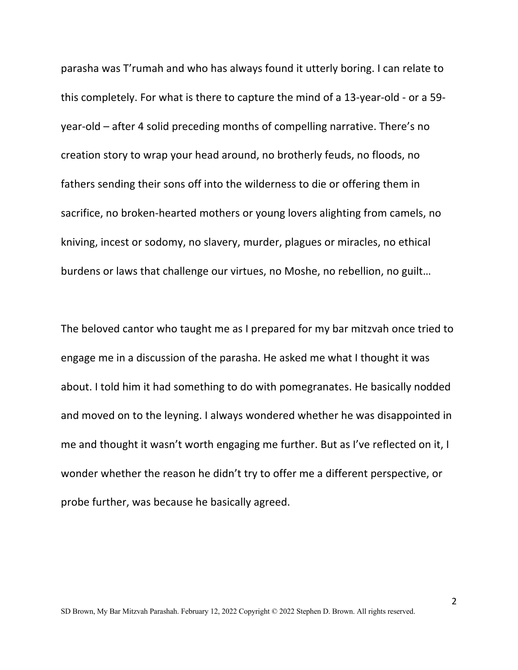parasha was T'rumah and who has always found it utterly boring. I can relate to this completely. For what is there to capture the mind of a 13-year-old - or a 59 year-old – after 4 solid preceding months of compelling narrative. There's no creation story to wrap your head around, no brotherly feuds, no floods, no fathers sending their sons off into the wilderness to die or offering them in sacrifice, no broken-hearted mothers or young lovers alighting from camels, no kniving, incest or sodomy, no slavery, murder, plagues or miracles, no ethical burdens or laws that challenge our virtues, no Moshe, no rebellion, no guilt…

The beloved cantor who taught me as I prepared for my bar mitzvah once tried to engage me in a discussion of the parasha. He asked me what I thought it was about. I told him it had something to do with pomegranates. He basically nodded and moved on to the leyning. I always wondered whether he was disappointed in me and thought it wasn't worth engaging me further. But as I've reflected on it, I wonder whether the reason he didn't try to offer me a different perspective, or probe further, was because he basically agreed.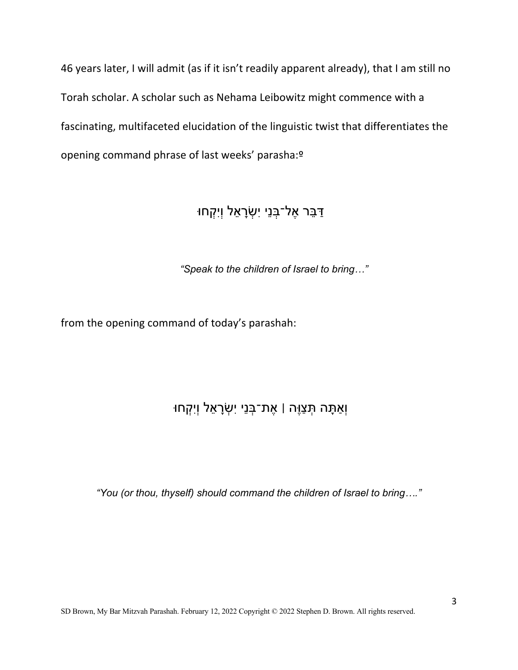46 years later, I will admit (as if it isn't readily apparent already), that I am still no Torah scholar. A scholar such as Nehama Leibowitz might commence with a fascinating, multifaceted elucidation of the linguistic twist that differentiates the opening command phrase of last weeks' parasha:º

## ּדַּבֵּר אֶל־בְּנֵי יִשְׂרָאֵל וְיִקְחוּ

*"Speak to the children of Israel to bring…"*

from the opening command of today's parashah:

## ּוְאַתָּה תְּצַוֶּה | אֶת־בְּנֵי יִשְׂרָאֵל וְיִקְחוּ

*"You (or thou, thyself) should command the children of Israel to bring…."*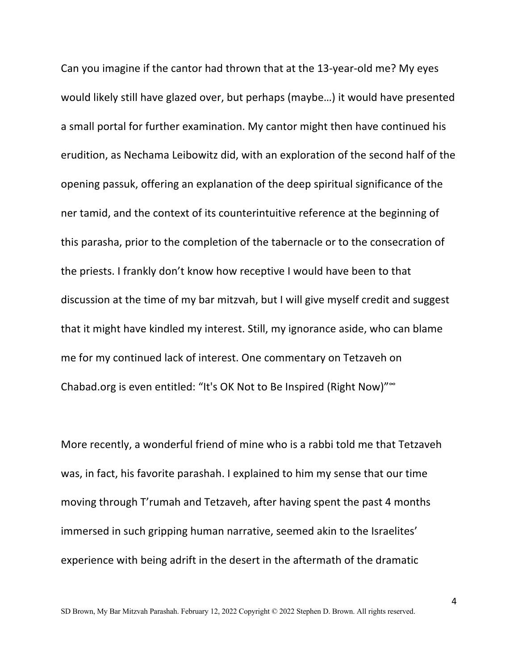Can you imagine if the cantor had thrown that at the 13-year-old me? My eyes would likely still have glazed over, but perhaps (maybe…) it would have presented a small portal for further examination. My cantor might then have continued his erudition, as Nechama Leibowitz did, with an exploration of the second half of the opening passuk, offering an explanation of the deep spiritual significance of the ner tamid, and the context of its counterintuitive reference at the beginning of this parasha, prior to the completion of the tabernacle or to the consecration of the priests. I frankly don't know how receptive I would have been to that discussion at the time of my bar mitzvah, but I will give myself credit and suggest that it might have kindled my interest. Still, my ignorance aside, who can blame me for my continued lack of interest. One commentary on Tetzaveh on Chabad.org is even entitled: "It's OK Not to Be Inspired (Right Now)"∞

More recently, a wonderful friend of mine who is a rabbi told me that Tetzaveh was, in fact, his favorite parashah. I explained to him my sense that our time moving through T'rumah and Tetzaveh, after having spent the past 4 months immersed in such gripping human narrative, seemed akin to the Israelites' experience with being adrift in the desert in the aftermath of the dramatic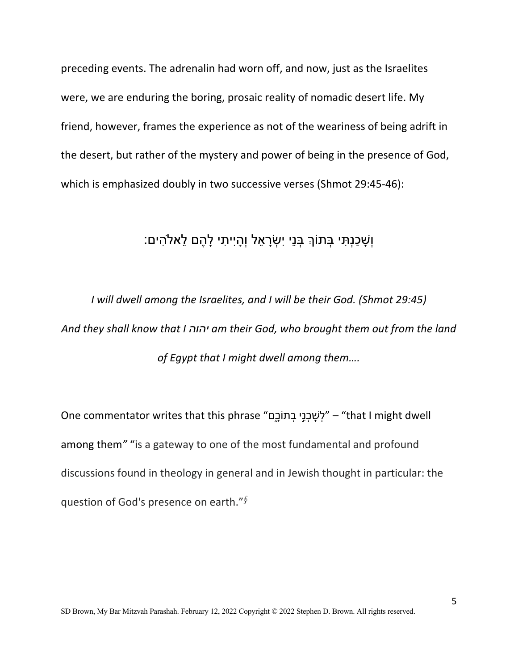preceding events. The adrenalin had worn off, and now, just as the Israelites were, we are enduring the boring, prosaic reality of nomadic desert life. My friend, however, frames the experience as not of the weariness of being adrift in the desert, but rather of the mystery and power of being in the presence of God, which is emphasized doubly in two successive verses (Shmot 29:45-46):

## וִשְׁכַּנְתִּי בָּתוֹךְ בְּנֵי יִשְׂרָאֵל וְהָיִיתִי לָהֶם לֵאלֹהִים:

*I will dwell among the Israelites, and I will be their God. (Shmot 29:45) And they shall know that I הוהי am their God, who brought them out from the land of Egypt that I might dwell among them….*

One commentator writes that this phrase " לְשׇׁכְנִ֣י בְכוֹתָ֑ם" – " that I might dwell among them*"* "is a gateway to one of the most fundamental and profound discussions found in theology in general and in Jewish thought in particular: the question of God's presence on earth." $\oint$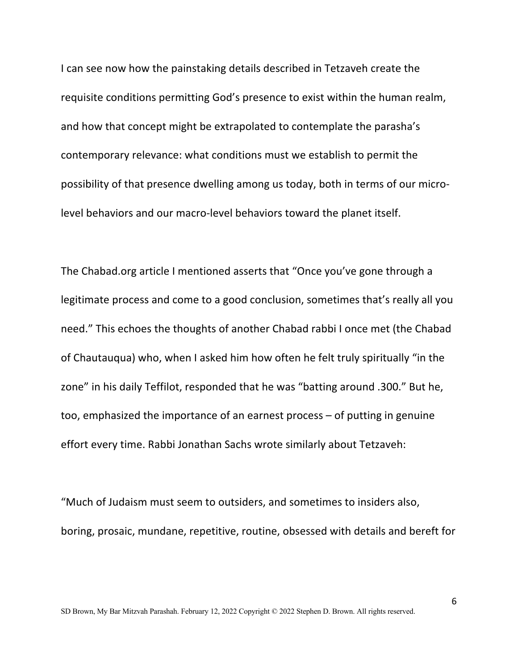I can see now how the painstaking details described in Tetzaveh create the requisite conditions permitting God's presence to exist within the human realm, and how that concept might be extrapolated to contemplate the parasha's contemporary relevance: what conditions must we establish to permit the possibility of that presence dwelling among us today, both in terms of our microlevel behaviors and our macro-level behaviors toward the planet itself.

The Chabad.org article I mentioned asserts that "Once you've gone through a legitimate process and come to a good conclusion, sometimes that's really all you need." This echoes the thoughts of another Chabad rabbi I once met (the Chabad of Chautauqua) who, when I asked him how often he felt truly spiritually "in the zone" in his daily Teffilot, responded that he was "batting around .300." But he, too, emphasized the importance of an earnest process – of putting in genuine effort every time. Rabbi Jonathan Sachs wrote similarly about Tetzaveh:

"Much of Judaism must seem to outsiders, and sometimes to insiders also, boring, prosaic, mundane, repetitive, routine, obsessed with details and bereft for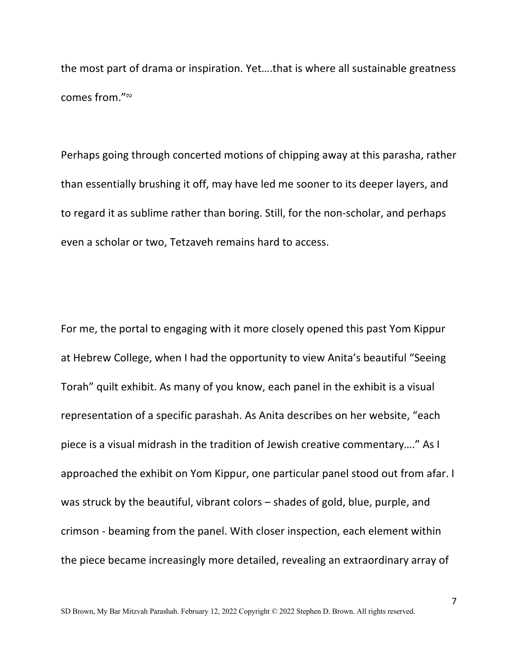the most part of drama or inspiration. Yet….that is where all sustainable greatness comes from."<sup>∾</sup>

Perhaps going through concerted motions of chipping away at this parasha, rather than essentially brushing it off, may have led me sooner to its deeper layers, and to regard it as sublime rather than boring. Still, for the non-scholar, and perhaps even a scholar or two, Tetzaveh remains hard to access.

For me, the portal to engaging with it more closely opened this past Yom Kippur at Hebrew College, when I had the opportunity to view Anita's beautiful "Seeing Torah" quilt exhibit. As many of you know, each panel in the exhibit is a visual representation of a specific parashah. As Anita describes on her website, "each piece is a visual midrash in the tradition of Jewish creative commentary…." As I approached the exhibit on Yom Kippur, one particular panel stood out from afar. I was struck by the beautiful, vibrant colors – shades of gold, blue, purple, and crimson - beaming from the panel. With closer inspection, each element within the piece became increasingly more detailed, revealing an extraordinary array of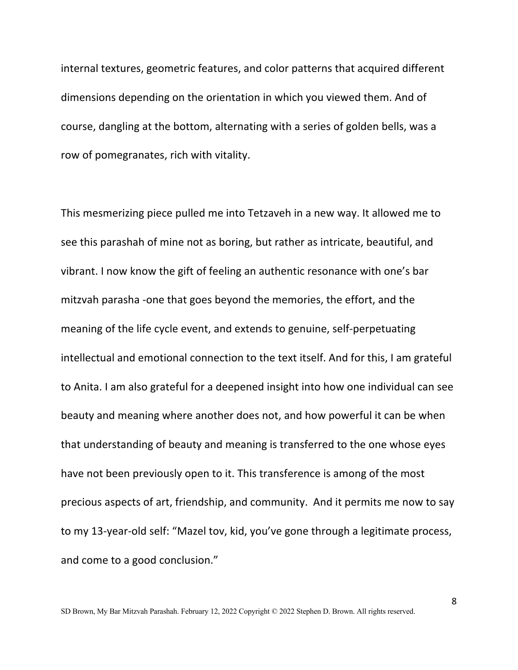internal textures, geometric features, and color patterns that acquired different dimensions depending on the orientation in which you viewed them. And of course, dangling at the bottom, alternating with a series of golden bells, was a row of pomegranates, rich with vitality.

This mesmerizing piece pulled me into Tetzaveh in a new way. It allowed me to see this parashah of mine not as boring, but rather as intricate, beautiful, and vibrant. I now know the gift of feeling an authentic resonance with one's bar mitzvah parasha -one that goes beyond the memories, the effort, and the meaning of the life cycle event, and extends to genuine, self-perpetuating intellectual and emotional connection to the text itself. And for this, I am grateful to Anita. I am also grateful for a deepened insight into how one individual can see beauty and meaning where another does not, and how powerful it can be when that understanding of beauty and meaning is transferred to the one whose eyes have not been previously open to it. This transference is among of the most precious aspects of art, friendship, and community. And it permits me now to say to my 13-year-old self: "Mazel tov, kid, you've gone through a legitimate process, and come to a good conclusion."